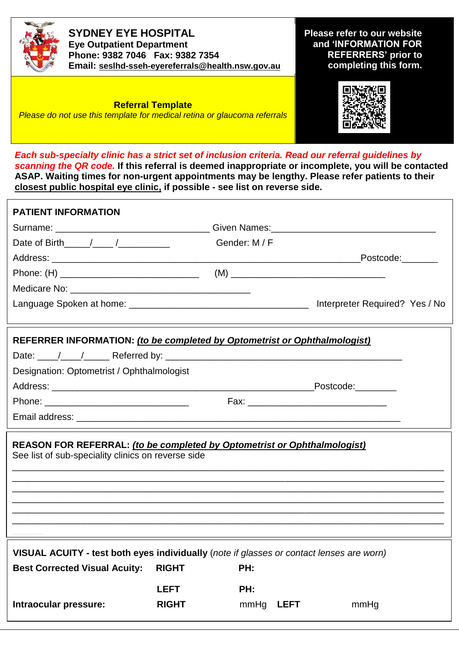

**SYDNEY EYE HOSPITAL Eye Outpatient Department Phone: 9382 7046 Fax: 9382 7354 Email: [seslhd-sseh-eyereferrals@health.nsw.gov.au](mailto:seslhd-sseh-eyereferrals@health.nsw.gov.au)** **Please refer to our website and 'INFORMATION FOR REFERRERS' prior to completing this form.**

**Referral Template** *Please do not use this template for medical retina or glaucoma referrals*



*Each sub-specialty clinic has a strict set of inclusion criteria. Read our referral guidelines by scanning the QR code.* **If this referral is deemed inappropriate or incomplete, you will be contacted ASAP. Waiting times for non-urgent appointments may be lengthy. Please refer patients to their closest public hospital eye clinic, if possible - see list on reverse side.**

| <b>PATIENT INFORMATION</b>                                                                                                     |              |               |                     |  |
|--------------------------------------------------------------------------------------------------------------------------------|--------------|---------------|---------------------|--|
|                                                                                                                                |              |               |                     |  |
| Date of Birth $\frac{1}{\sqrt{2}}$                                                                                             |              | Gender: M / F |                     |  |
|                                                                                                                                |              |               | Postcode:           |  |
|                                                                                                                                |              |               |                     |  |
|                                                                                                                                |              |               |                     |  |
|                                                                                                                                |              |               |                     |  |
| REFERRER INFORMATION: (to be completed by Optometrist or Ophthalmologist)                                                      |              |               |                     |  |
|                                                                                                                                |              |               |                     |  |
| Designation: Optometrist / Ophthalmologist                                                                                     |              |               |                     |  |
|                                                                                                                                |              |               | Postcode:           |  |
|                                                                                                                                |              |               |                     |  |
|                                                                                                                                |              |               |                     |  |
| REASON FOR REFERRAL: (to be completed by Optometrist or Ophthalmologist)<br>See list of sub-speciality clinics on reverse side |              |               |                     |  |
|                                                                                                                                |              |               |                     |  |
|                                                                                                                                |              |               |                     |  |
|                                                                                                                                |              |               |                     |  |
|                                                                                                                                |              |               |                     |  |
| VISUAL ACUITY - test both eyes individually (note if glasses or contact lenses are worn)                                       |              |               |                     |  |
| <b>Best Corrected Visual Acuity:</b>                                                                                           | <b>RIGHT</b> | PH:           |                     |  |
|                                                                                                                                | <b>LEFT</b>  | PH:           |                     |  |
| Intraocular pressure:                                                                                                          | <b>RIGHT</b> | mmHg          | <b>LEFT</b><br>mmHg |  |